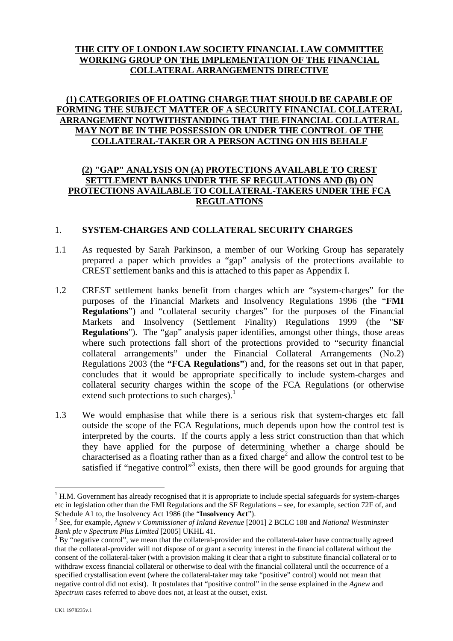# **THE CITY OF LONDON LAW SOCIETY FINANCIAL LAW COMMITTEE WORKING GROUP ON THE IMPLEMENTATION OF THE FINANCIAL COLLATERAL ARRANGEMENTS DIRECTIVE**

# **(1) CATEGORIES OF FLOATING CHARGE THAT SHOULD BE CAPABLE OF FORMING THE SUBJECT MATTER OF A SECURITY FINANCIAL COLLATERAL ARRANGEMENT NOTWITHSTANDING THAT THE FINANCIAL COLLATERAL MAY NOT BE IN THE POSSESSION OR UNDER THE CONTROL OF THE COLLATERAL-TAKER OR A PERSON ACTING ON HIS BEHALF**

### **(2) "GAP" ANALYSIS ON (A) PROTECTIONS AVAILABLE TO CREST SETTLEMENT BANKS UNDER THE SF REGULATIONS AND (B) ON PROTECTIONS AVAILABLE TO COLLATERAL-TAKERS UNDER THE FCA REGULATIONS**

#### 1. **SYSTEM-CHARGES AND COLLATERAL SECURITY CHARGES**

- 1.1 As requested by Sarah Parkinson, a member of our Working Group has separately prepared a paper which provides a "gap" analysis of the protections available to CREST settlement banks and this is attached to this paper as Appendix I.
- 1.2 CREST settlement banks benefit from charges which are "system-charges" for the purposes of the Financial Markets and Insolvency Regulations 1996 (the "**FMI Regulations**") and "collateral security charges" for the purposes of the Financial Markets and Insolvency (Settlement Finality) Regulations 1999 (the "**SF Regulations**"). The "gap" analysis paper identifies, amongst other things, those areas where such protections fall short of the protections provided to "security financial collateral arrangements" under the Financial Collateral Arrangements (No.2) Regulations 2003 (the **"FCA Regulations"**) and, for the reasons set out in that paper, concludes that it would be appropriate specifically to include system-charges and collateral security charges within the scope of the FCA Regulations (or otherwise extend such protections to such charges). $<sup>1</sup>$  $<sup>1</sup>$  $<sup>1</sup>$ </sup>
- 1.3 We would emphasise that while there is a serious risk that system-charges etc fall outside the scope of the FCA Regulations, much depends upon how the control test is interpreted by the courts. If the courts apply a less strict construction than that which they have applied for the purpose of determining whether a charge should be characterised as a floating rather than as a fixed charge<sup>[2](#page-0-1)</sup> and allow the control test to be satisfied if "negative control"<sup>3</sup> exists, then there will be good grounds for arguing that

<span id="page-0-0"></span> $1$  H.M. Government has already recognised that it is appropriate to include special safeguards for system-charges etc in legislation other than the FMI Regulations and the SF Regulations – see, for example, section 72F of, and Schedule A1 to, the Insolvency Act 1986 (the "Insolvency Act").

<span id="page-0-1"></span>See, for example, *Agnew v Commissioner of Inland Revenue* [2001] 2 BCLC 188 and *National Westminster Bank plc v Spectrum Plus Limited* [2005] UKHL 41.

<span id="page-0-2"></span> $3$  By "negative control", we mean that the collateral-provider and the collateral-taker have contractually agreed that the collateral-provider will not dispose of or grant a security interest in the financial collateral without the consent of the collateral-taker (with a provision making it clear that a right to substitute financial collateral or to withdraw excess financial collateral or otherwise to deal with the financial collateral until the occurrence of a specified crystallisation event (where the collateral-taker may take "positive" control) would not mean that negative control did not exist). It postulates that "positive control" in the sense explained in the *Agnew* and *Spectrum* cases referred to above does not, at least at the outset, exist.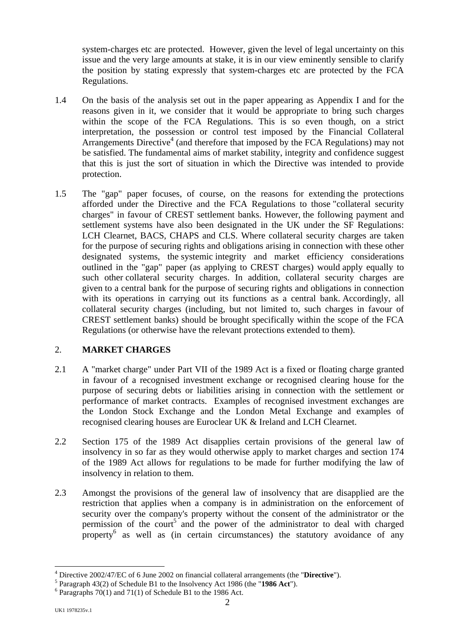system-charges etc are protected. However, given the level of legal uncertainty on this issue and the very large amounts at stake, it is in our view eminently sensible to clarify the position by stating expressly that system-charges etc are protected by the FCA Regulations.

- 1.4 On the basis of the analysis set out in the paper appearing as Appendix I and for the reasons given in it, we consider that it would be appropriate to bring such charges within the scope of the FCA Regulations. This is so even though, on a strict interpretation, the possession or control test imposed by the Financial Collateral Arrangements Directive<sup>[4](#page-1-0)</sup> (and therefore that imposed by the FCA Regulations) may not be satisfied. The fundamental aims of market stability, integrity and confidence suggest that this is just the sort of situation in which the Directive was intended to provide protection.
- 1.5 The "gap" paper focuses, of course, on the reasons for extending the protections afforded under the Directive and the FCA Regulations to those "collateral security charges" in favour of CREST settlement banks. However, the following payment and settlement systems have also been designated in the UK under the SF Regulations: LCH Clearnet, BACS, CHAPS and CLS. Where collateral security charges are taken for the purpose of securing rights and obligations arising in connection with these other designated systems, the systemic integrity and market efficiency considerations outlined in the "gap" paper (as applying to CREST charges) would apply equally to such other collateral security charges. In addition, collateral security charges are given to a central bank for the purpose of securing rights and obligations in connection with its operations in carrying out its functions as a central bank. Accordingly, all collateral security charges (including, but not limited to, such charges in favour of CREST settlement banks) should be brought specifically within the scope of the FCA Regulations (or otherwise have the relevant protections extended to them).

# 2. **MARKET CHARGES**

- 2.1 A "market charge" under Part VII of the 1989 Act is a fixed or floating charge granted in favour of a recognised investment exchange or recognised clearing house for the purpose of securing debts or liabilities arising in connection with the settlement or performance of market contracts. Examples of recognised investment exchanges are the London Stock Exchange and the London Metal Exchange and examples of recognised clearing houses are Euroclear UK & Ireland and LCH Clearnet.
- 2.2 Section 175 of the 1989 Act disapplies certain provisions of the general law of insolvency in so far as they would otherwise apply to market charges and section 174 of the 1989 Act allows for regulations to be made for further modifying the law of insolvency in relation to them.
- 2.3 Amongst the provisions of the general law of insolvency that are disapplied are the restriction that applies when a company is in administration on the enforcement of security over the company's property without the consent of the administrator or the permissionof the court<sup>5</sup> and the power of the administrator to deal with charged property<sup>[6](#page-1-2)</sup> as well as (in certain circumstances) the statutory avoidance of any

<span id="page-1-0"></span><sup>&</sup>lt;sup>4</sup> Directive 2002/47/EC of 6 June 2002 on financial collateral arrangements (the "**Directive**").

<span id="page-1-1"></span><sup>&</sup>lt;sup>5</sup> Paragraph 43(2) of Schedule B1 to the Insolvency Act 1986 (the "1986 Act").

<span id="page-1-2"></span> $6$  Paragraphs 70(1) and 71(1) of Schedule B1 to the 1986 Act.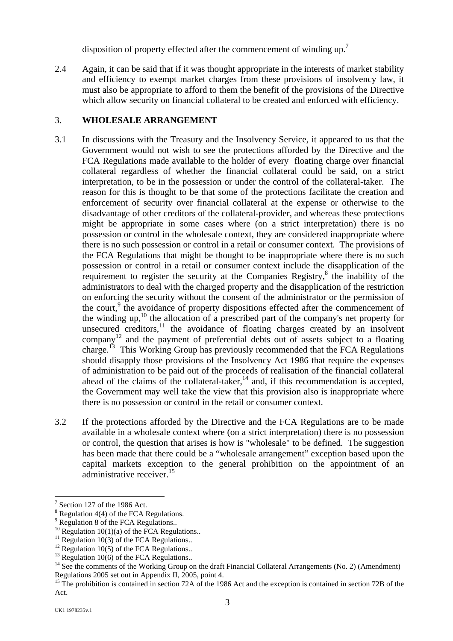disposition of property effected after the commencement of winding up.<sup>7</sup>

2.4 Again, it can be said that if it was thought appropriate in the interests of market stability and efficiency to exempt market charges from these provisions of insolvency law, it must also be appropriate to afford to them the benefit of the provisions of the Directive which allow security on financial collateral to be created and enforced with efficiency.

# 3. **WHOLESALE ARRANGEMENT**

- 3.1 In discussions with the Treasury and the Insolvency Service, it appeared to us that the Government would not wish to see the protections afforded by the Directive and the FCA Regulations made available to the holder of every floating charge over financial collateral regardless of whether the financial collateral could be said, on a strict interpretation, to be in the possession or under the control of the collateral-taker. The reason for this is thought to be that some of the protections facilitate the creation and enforcement of security over financial collateral at the expense or otherwise to the disadvantage of other creditors of the collateral-provider, and whereas these protections might be appropriate in some cases where (on a strict interpretation) there is no possession or control in the wholesale context, they are considered inappropriate where there is no such possession or control in a retail or consumer context. The provisions of the FCA Regulations that might be thought to be inappropriate where there is no such possession or control in a retail or consumer context include the disapplication of the requirement to register the security at the Companies Registry, $\frac{8}{3}$  $\frac{8}{3}$  $\frac{8}{3}$  the inability of the administrators to deal with the charged property and the disapplication of the restriction on enforcing the security without the consent of the administrator or the permission of the court,<sup>[9](#page-2-2)</sup> the avoidance of property dispositions effected after the commencement of the winding  $up,$ <sup>10</sup> the allocation of a prescribed part of the company's net property for unsecured creditors, $\frac{11}{1}$  the avoidance of floating charges created by an insolvent company<sup>12</sup> and the payment of preferential debts out of assets subject to a floating company and the payment of presenting the numerical that the FCA Regulations charge.<sup>13</sup> This Working Group has previously recommended that the FCA Regulations should disapply those provisions of the Insolvency Act 1986 that require the expenses of administration to be paid out of the proceeds of realisation of the financial collateral ahead of the claims of the collateral-taker, $14$  and, if this recommendation is accepted, the Government may well take the view that this provision also is inappropriate where there is no possession or control in the retail or consumer context.
- 3.2 If the protections afforded by the Directive and the FCA Regulations are to be made available in a wholesale context where (on a strict interpretation) there is no possession or control, the question that arises is how is "wholesale" to be defined. The suggestion has been made that there could be a "wholesale arrangement" exception based upon the capital markets exception to the general prohibition on the appointment of an administrative receiver.<sup>15</sup>

<span id="page-2-0"></span><sup>7</sup> Section 127 of the 1986 Act.

<span id="page-2-1"></span>Regulation 4(4) of the FCA Regulations.<br>Regulation 8 of the FCA Regulations..

<span id="page-2-2"></span>

<span id="page-2-3"></span>

<span id="page-2-4"></span>

<span id="page-2-5"></span>

<span id="page-2-7"></span><span id="page-2-6"></span>

<sup>&</sup>lt;sup>10</sup> Regulation 10(1)(a) of the FCA Regulations..<br><sup>11</sup> Regulation 10(3) of the FCA Regulations..<br><sup>12</sup> Regulation 10(5) of the FCA Regulations..<br><sup>13</sup> Regulation 10(6) of the FCA Regulations..<br><sup>14</sup> See the comments of the W

<span id="page-2-8"></span><sup>&</sup>lt;sup>15</sup> The prohibition is contained in section 72A of the 1986 Act and the exception is contained in section 72B of the Act.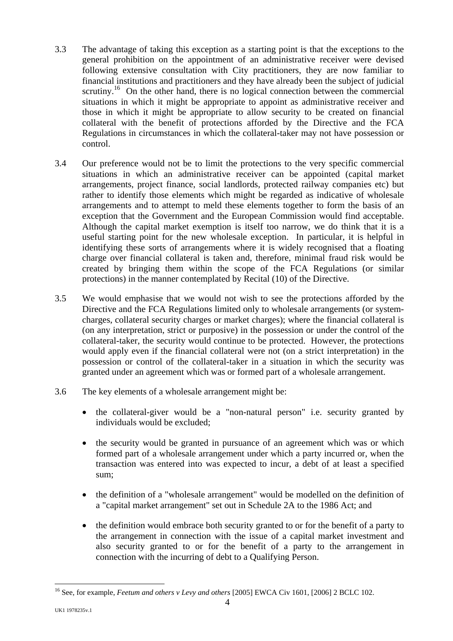- 3.3 The advantage of taking this exception as a starting point is that the exceptions to the general prohibition on the appointment of an administrative receiver were devised following extensive consultation with City practitioners, they are now familiar to financial institutions and practitioners and they have already been the subject of judicial scrutiny.<sup>16</sup> On the other hand, there is no logical connection between the commercial situations in which it might be appropriate to appoint as administrative receiver and those in which it might be appropriate to allow security to be created on financial collateral with the benefit of protections afforded by the Directive and the FCA Regulations in circumstances in which the collateral-taker may not have possession or control.
- 3.4 Our preference would not be to limit the protections to the very specific commercial situations in which an administrative receiver can be appointed (capital market arrangements, project finance, social landlords, protected railway companies etc) but rather to identify those elements which might be regarded as indicative of wholesale arrangements and to attempt to meld these elements together to form the basis of an exception that the Government and the European Commission would find acceptable. Although the capital market exemption is itself too narrow, we do think that it is a useful starting point for the new wholesale exception. In particular, it is helpful in identifying these sorts of arrangements where it is widely recognised that a floating charge over financial collateral is taken and, therefore, minimal fraud risk would be created by bringing them within the scope of the FCA Regulations (or similar protections) in the manner contemplated by Recital (10) of the Directive.
- 3.5 We would emphasise that we would not wish to see the protections afforded by the Directive and the FCA Regulations limited only to wholesale arrangements (or systemcharges, collateral security charges or market charges); where the financial collateral is (on any interpretation, strict or purposive) in the possession or under the control of the collateral-taker, the security would continue to be protected. However, the protections would apply even if the financial collateral were not (on a strict interpretation) in the possession or control of the collateral-taker in a situation in which the security was granted under an agreement which was or formed part of a wholesale arrangement.
- 3.6 The key elements of a wholesale arrangement might be:
	- the collateral-giver would be a "non-natural person" i.e. security granted by individuals would be excluded;
	- the security would be granted in pursuance of an agreement which was or which formed part of a wholesale arrangement under which a party incurred or, when the transaction was entered into was expected to incur, a debt of at least a specified sum;
	- the definition of a "wholesale arrangement" would be modelled on the definition of a "capital market arrangement" set out in Schedule 2A to the 1986 Act; and
	- the definition would embrace both security granted to or for the benefit of a party to the arrangement in connection with the issue of a capital market investment and also security granted to or for the benefit of a party to the arrangement in connection with the incurring of debt to a Qualifying Person.

<span id="page-3-0"></span><sup>16</sup> See, for example, *Feetum and others v Levy and others* [2005] EWCA Civ 1601, [2006] 2 BCLC 102.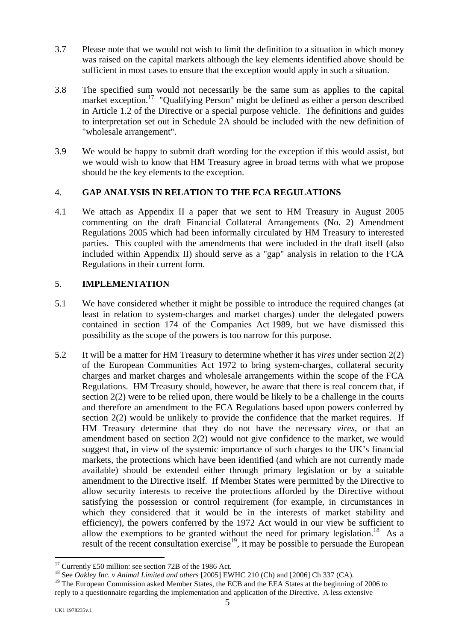- <span id="page-4-2"></span>3.7 Please note that we would not wish to limit the definition to a situation in which money was raised on the capital markets although the key elements identified above should be sufficient in most cases to ensure that the exception would apply in such a situation.
- 3.8 The specified sum would not necessarily be the same sum as applies to the capital market exception.<sup>17</sup> "Qualifying Person" might be defined as either a person described in Article 1.2 of the Directive or a special purpose vehicle. The definitions and guides to interpretation set out in Schedule 2A should be included with the new definition of "wholesale arrangement".
- 3.9 We would be happy to submit draft wording for the exception if this would assist, but we would wish to know that HM Treasury agree in broad terms with what we propose should be the key elements to the exception.

### 4. **GAP ANALYSIS IN RELATION TO THE FCA REGULATIONS**

4.1 We attach as Appendix II a paper that we sent to HM Treasury in August 2005 commenting on the draft Financial Collateral Arrangements (No. 2) Amendment Regulations 2005 which had been informally circulated by HM Treasury to interested parties. This coupled with the amendments that were included in the draft itself (also included within Appendix II) should serve as a "gap" analysis in relation to the FCA Regulations in their current form.

#### 5. **IMPLEMENTATION**

- 5.1 We have considered whether it might be possible to introduce the required changes (at least in relation to system-charges and market charges) under the delegated powers contained in section 174 of the Companies Act 1989, but we have dismissed this possibility as the scope of the powers is too narrow for this purpose.
- 5.2 It will be a matter for HM Treasury to determine whether it has *vires* under section 2(2) of the European Communities Act 1972 to bring system-charges, collateral security charges and market charges and wholesale arrangements within the scope of the FCA Regulations. HM Treasury should, however, be aware that there is real concern that, if section 2(2) were to be relied upon, there would be likely to be a challenge in the courts and therefore an amendment to the FCA Regulations based upon powers conferred by section 2(2) would be unlikely to provide the confidence that the market requires. If HM Treasury determine that they do not have the necessary *vires*, or that an amendment based on section 2(2) would not give confidence to the market, we would suggest that, in view of the systemic importance of such charges to the UK's financial markets, the protections which have been identified (and which are not currently made available) should be extended either through primary legislation or by a suitable amendment to the Directive itself. If Member States were permitted by the Directive to allow security interests to receive the protections afforded by the Directive without satisfying the possession or control requirement (for example, in circumstances in which they considered that it would be in the interests of market stability and efficiency), the powers conferred by the 1972 Act would in our view be sufficient to allow the exemptions to be granted without the need for primary legislation.<sup>18</sup> As a result of the recent consultation exercise<sup>19</sup>, it may be possible to persuade the European

<span id="page-4-0"></span><sup>&</sup>lt;sup>17</sup> Currently £50 million: see section 72B of the 1986 Act.

<span id="page-4-1"></span><sup>&</sup>lt;sup>18</sup> See *Oakley Inc. v Animal Limited and others* [2005] EWHC 210 (Ch) and [2006] Ch 337 (CA).

<sup>&</sup>lt;sup>19</sup> The European Commission asked Member States, the ECB and the EEA States at the beginning of 2006 to reply to a questionnaire regarding the implementation and application of the Directive. A less extensive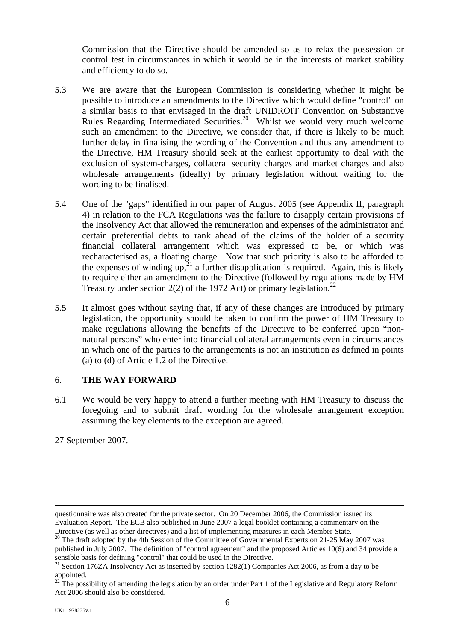Commission that the Directive should be amended so as to relax the possession or control test in circumstances in which it would be in the interests of market stability and efficiency to do so.

- 5.3 We are aware that the European Commission is considering whether it might be possible to introduce an amendments to the Directive which would define "control" on a similar basis to that envisaged in the draft UNIDROIT Convention on Substantive Rules Regarding Intermediated Securities.<sup>20</sup> Whilst we would very much welcome such an amendment to the Directive, we consider that, if there is likely to be much further delay in finalising the wording of the Convention and thus any amendment to the Directive, HM Treasury should seek at the earliest opportunity to deal with the exclusion of system-charges, collateral security charges and market charges and also wholesale arrangements (ideally) by primary legislation without waiting for the wording to be finalised.
- 5.4 One of the "gaps" identified in our paper of August 2005 (see Appendix II, paragraph 4) in relation to the FCA Regulations was the failure to disapply certain provisions of the Insolvency Act that allowed the remuneration and expenses of the administrator and certain preferential debts to rank ahead of the claims of the holder of a security financial collateral arrangement which was expressed to be, or which was recharacterised as, a floating charge. Now that such priority is also to be afforded to the expenses of winding up,<sup>21</sup> a further disapplication is required. Again, this is likely to require either an amendment to the Directive (followed by regulations made by HM Treasury under section 2(2) of the 1972 Act) or primary legislation.<sup>[22](#page-5-2)</sup>
- 5.5 It almost goes without saying that, if any of these changes are introduced by primary legislation, the opportunity should be taken to confirm the power of HM Treasury to make regulations allowing the benefits of the Directive to be conferred upon "nonnatural persons" who enter into financial collateral arrangements even in circumstances in which one of the parties to the arrangements is not an institution as defined in points (a) to (d) of Article 1.2 of the Directive.

#### 6. **THE WAY FORWARD**

6.1 We would be very happy to attend a further meeting with HM Treasury to discuss the foregoing and to submit draft wording for the wholesale arrangement exception assuming the key elements to the exception are agreed.

27 September 2007.

questionnaire was also created for the private sector. On 20 December 2006, the Commission issued its Evaluation Report. The ECB also published in June 2007 a legal booklet containing a commentary on the Directive (as well as other directives) and a list of implementing measures in each Member State.<br><sup>20</sup> The draft adopted by the 4th Session of the Committee of Governmental Experts on 21-25 May 2007 was

<span id="page-5-0"></span>published in July 2007. The definition of "control agreement" and the proposed Articles 10(6) and 34 provide a

<span id="page-5-1"></span>sensible basis for defining "control" that could be used in the Directive.<br><sup>21</sup> Section 176ZA Insolvency Act as inserted by section 1282(1) Companies Act 2006, as from a day to be appointed.<br><sup>22</sup> The possibility of among

<span id="page-5-2"></span>The possibility of amending the legislation by an order under Part 1 of the Legislative and Regulatory Reform Act 2006 should also be considered.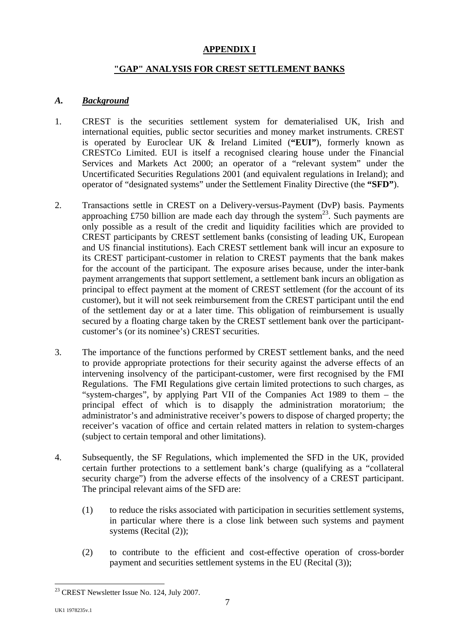# **APPENDIX I**

### **"GAP" ANALYSIS FOR CREST SETTLEMENT BANKS**

#### *A. Background*

- 1. CREST is the securities settlement system for dematerialised UK, Irish and international equities, public sector securities and money market instruments. CREST is operated by Euroclear UK & Ireland Limited (**"EUI"**), formerly known as CRESTCo Limited. EUI is itself a recognised clearing house under the Financial Services and Markets Act 2000; an operator of a "relevant system" under the Uncertificated Securities Regulations 2001 (and equivalent regulations in Ireland); and operator of "designated systems" under the Settlement Finality Directive (the **"SFD"**).
- 2. Transactions settle in CREST on a Delivery-versus-Payment (DvP) basis. Payments approaching £750 billion are made each day through the system<sup>23</sup>. Such payments are only possible as a result of the credit and liquidity facilities which are provided to CREST participants by CREST settlement banks (consisting of leading UK, European and US financial institutions). Each CREST settlement bank will incur an exposure to its CREST participant-customer in relation to CREST payments that the bank makes for the account of the participant. The exposure arises because, under the inter-bank payment arrangements that support settlement, a settlement bank incurs an obligation as principal to effect payment at the moment of CREST settlement (for the account of its customer), but it will not seek reimbursement from the CREST participant until the end of the settlement day or at a later time. This obligation of reimbursement is usually secured by a floating charge taken by the CREST settlement bank over the participantcustomer's (or its nominee's) CREST securities.
- 3. The importance of the functions performed by CREST settlement banks, and the need to provide appropriate protections for their security against the adverse effects of an intervening insolvency of the participant-customer, were first recognised by the FMI Regulations. The FMI Regulations give certain limited protections to such charges, as "system-charges", by applying Part VII of the Companies Act 1989 to them – the principal effect of which is to disapply the administration moratorium; the administrator's and administrative receiver's powers to dispose of charged property; the receiver's vacation of office and certain related matters in relation to system-charges (subject to certain temporal and other limitations).
- 4. Subsequently, the SF Regulations, which implemented the SFD in the UK, provided certain further protections to a settlement bank's charge (qualifying as a "collateral security charge") from the adverse effects of the insolvency of a CREST participant. The principal relevant aims of the SFD are:
	- (1) to reduce the risks associated with participation in securities settlement systems, in particular where there is a close link between such systems and payment systems (Recital (2));
	- (2) to contribute to the efficient and cost-effective operation of cross-border payment and securities settlement systems in the EU (Recital (3));

<span id="page-6-0"></span><sup>&</sup>lt;sup>23</sup> CREST Newsletter Issue No. 124, July 2007.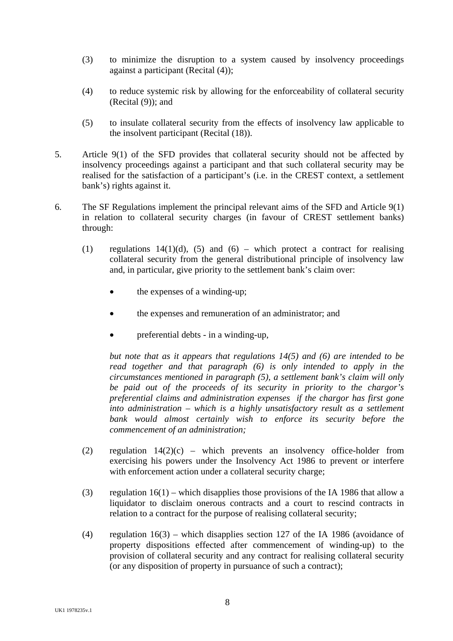- (3) to minimize the disruption to a system caused by insolvency proceedings against a participant (Recital (4));
- (4) to reduce systemic risk by allowing for the enforceability of collateral security (Recital (9)); and
- (5) to insulate collateral security from the effects of insolvency law applicable to the insolvent participant (Recital (18)).
- 5. Article 9(1) of the SFD provides that collateral security should not be affected by insolvency proceedings against a participant and that such collateral security may be realised for the satisfaction of a participant's (i.e. in the CREST context, a settlement bank's) rights against it.
- 6. The SF Regulations implement the principal relevant aims of the SFD and Article 9(1) in relation to collateral security charges (in favour of CREST settlement banks) through:
	- (1) regulations  $14(1)(d)$ , (5) and (6) which protect a contract for realising collateral security from the general distributional principle of insolvency law and, in particular, give priority to the settlement bank's claim over:
		- the expenses of a winding-up;
		- the expenses and remuneration of an administrator; and
		- preferential debts in a winding-up,

*but note that as it appears that regulations 14(5) and (6) are intended to be read together and that paragraph (6) is only intended to apply in the circumstances mentioned in paragraph (5), a settlement bank's claim will only be paid out of the proceeds of its security in priority to the chargor's preferential claims and administration expenses if the chargor has first gone into administration – which is a highly unsatisfactory result as a settlement bank would almost certainly wish to enforce its security before the commencement of an administration;* 

- (2) regulation  $14(2)(c)$  which prevents an insolvency office-holder from exercising his powers under the Insolvency Act 1986 to prevent or interfere with enforcement action under a collateral security charge:
- (3) regulation 16(1) which disapplies those provisions of the IA 1986 that allow a liquidator to disclaim onerous contracts and a court to rescind contracts in relation to a contract for the purpose of realising collateral security;
- (4) regulation 16(3) which disapplies section 127 of the IA 1986 (avoidance of property dispositions effected after commencement of winding-up) to the provision of collateral security and any contract for realising collateral security (or any disposition of property in pursuance of such a contract);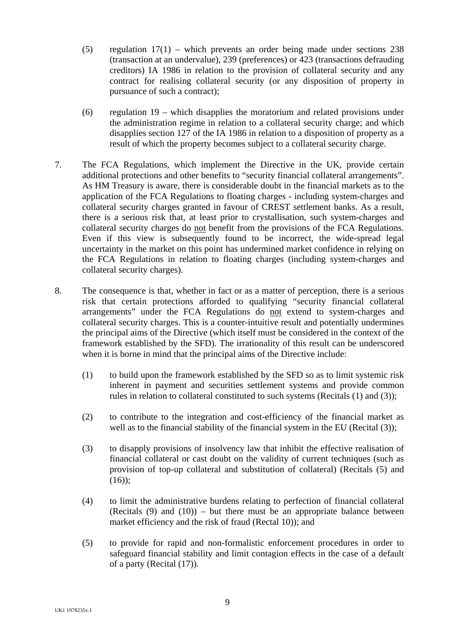- (5) regulation  $17(1)$  which prevents an order being made under sections 238 (transaction at an undervalue), 239 (preferences) or 423 (transactions defrauding creditors) IA 1986 in relation to the provision of collateral security and any contract for realising collateral security (or any disposition of property in pursuance of such a contract);
- (6) regulation 19 which disapplies the moratorium and related provisions under the administration regime in relation to a collateral security charge; and which disapplies section 127 of the IA 1986 in relation to a disposition of property as a result of which the property becomes subject to a collateral security charge.
- 7. The FCA Regulations, which implement the Directive in the UK, provide certain additional protections and other benefits to "security financial collateral arrangements". As HM Treasury is aware, there is considerable doubt in the financial markets as to the application of the FCA Regulations to floating charges - including system-charges and collateral security charges granted in favour of CREST settlement banks. As a result, there is a serious risk that, at least prior to crystallisation, such system-charges and collateral security charges do not benefit from the provisions of the FCA Regulations. Even if this view is subsequently found to be incorrect, the wide-spread legal uncertainty in the market on this point has undermined market confidence in relying on the FCA Regulations in relation to floating charges (including system-charges and collateral security charges).
- 8. The consequence is that, whether in fact or as a matter of perception, there is a serious risk that certain protections afforded to qualifying "security financial collateral arrangements" under the FCA Regulations do not extend to system-charges and collateral security charges. This is a counter-intuitive result and potentially undermines the principal aims of the Directive (which itself must be considered in the context of the framework established by the SFD). The irrationality of this result can be underscored when it is borne in mind that the principal aims of the Directive include:
	- (1) to build upon the framework established by the SFD so as to limit systemic risk inherent in payment and securities settlement systems and provide common rules in relation to collateral constituted to such systems (Recitals (1) and (3));
	- (2) to contribute to the integration and cost-efficiency of the financial market as well as to the financial stability of the financial system in the EU (Recital (3));
	- (3) to disapply provisions of insolvency law that inhibit the effective realisation of financial collateral or cast doubt on the validity of current techniques (such as provision of top-up collateral and substitution of collateral) (Recitals (5) and  $(16)$ ;
	- (4) to limit the administrative burdens relating to perfection of financial collateral (Recitals  $(9)$  and  $(10)$ ) – but there must be an appropriate balance between market efficiency and the risk of fraud (Rectal 10)); and
	- (5) to provide for rapid and non-formalistic enforcement procedures in order to safeguard financial stability and limit contagion effects in the case of a default of a party (Recital (17)).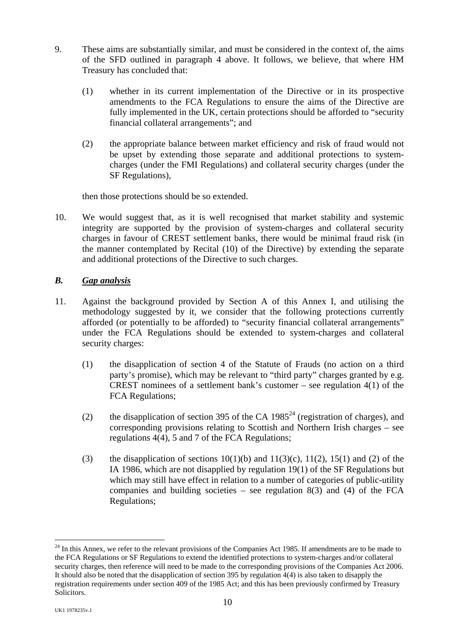- 9. These aims are substantially similar, and must be considered in the context of, the aims of the SFD outlined in paragraph 4 above. It follows, we believe, that where HM Treasury has concluded that:
	- (1) whether in its current implementation of the Directive or in its prospective amendments to the FCA Regulations to ensure the aims of the Directive are fully implemented in the UK, certain protections should be afforded to "security financial collateral arrangements"; and
	- (2) the appropriate balance between market efficiency and risk of fraud would not be upset by extending those separate and additional protections to systemcharges (under the FMI Regulations) and collateral security charges (under the SF Regulations),

then those protections should be so extended.

10. We would suggest that, as it is well recognised that market stability and systemic integrity are supported by the provision of system-charges and collateral security charges in favour of CREST settlement banks, there would be minimal fraud risk (in the manner contemplated by Recital (10) of the Directive) by extending the separate and additional protections of the Directive to such charges.

### *B. Gap analysis*

- 11. Against the background provided by Section A of this Annex I, and utilising the methodology suggested by it, we consider that the following protections currently afforded (or potentially to be afforded) to "security financial collateral arrangements" under the FCA Regulations should be extended to system-charges and collateral security charges:
	- (1) the disapplication of section 4 of the Statute of Frauds (no action on a third party's promise), which may be relevant to "third party" charges granted by e.g. CREST nominees of a settlement bank's customer – see regulation  $4(1)$  of the FCA Regulations;
	- (2) the disapplication of section 395 of the CA  $1985<sup>24</sup>$  (registration of charges), and corresponding provisions relating to Scottish and Northern Irish charges – see regulations 4(4), 5 and 7 of the FCA Regulations;
	- (3) the disapplication of sections  $10(1)(b)$  and  $11(3)(c)$ ,  $11(2)$ ,  $15(1)$  and (2) of the IA 1986, which are not disapplied by regulation 19(1) of the SF Regulations but which may still have effect in relation to a number of categories of public-utility companies and building societies – see regulation  $8(3)$  and (4) of the FCA Regulations;

<span id="page-9-0"></span> $^{24}$  In this Annex, we refer to the relevant provisions of the Companies Act 1985. If amendments are to be made to the FCA Regulations or SF Regulations to extend the identified protections to system-charges and/or collateral security charges, then reference will need to be made to the corresponding provisions of the Companies Act 2006. It should also be noted that the disapplication of section 395 by regulation 4(4) is also taken to disapply the registration requirements under section 409 of the 1985 Act; and this has been previously confirmed by Treasury Solicitors.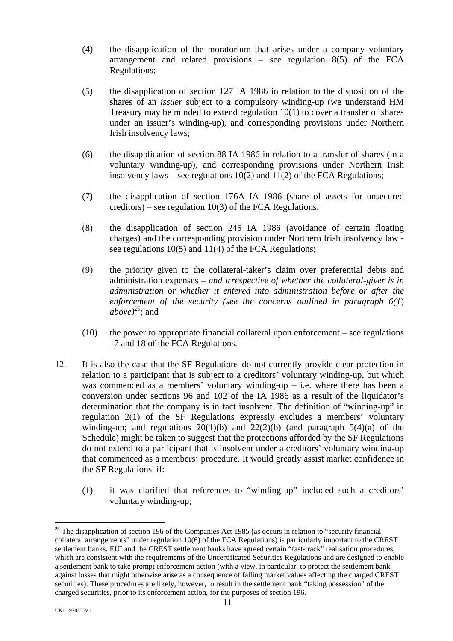- (4) the disapplication of the moratorium that arises under a company voluntary arrangement and related provisions – see regulation 8(5) of the FCA Regulations;
- (5) the disapplication of section 127 IA 1986 in relation to the disposition of the shares of an *issuer* subject to a compulsory winding-up (we understand HM Treasury may be minded to extend regulation 10(1) to cover a transfer of shares under an issuer's winding-up), and corresponding provisions under Northern Irish insolvency laws;
- (6) the disapplication of section 88 IA 1986 in relation to a transfer of shares (in a voluntary winding-up), and corresponding provisions under Northern Irish insolvency laws – see regulations  $10(2)$  and  $11(2)$  of the FCA Regulations;
- (7) the disapplication of section 176A IA 1986 (share of assets for unsecured creditors) – see regulation  $10(3)$  of the FCA Regulations;
- (8) the disapplication of section 245 IA 1986 (avoidance of certain floating charges) and the corresponding provision under Northern Irish insolvency law see regulations 10(5) and 11(4) of the FCA Regulations;
- (9) the priority given to the collateral-taker's claim over preferential debts and administration expenses – *and irrespective of whether the collateral-giver is in administration or whether it entered into administration before or after the enforcement of the security (see the concerns outlined in paragraph 6(1*)  $above<sup>25</sup>$  $above<sup>25</sup>$  $above<sup>25</sup>$ ; and
- $(10)$  the power to appropriate financial collateral upon enforcement see regulations 17 and 18 of the FCA Regulations.
- 12. It is also the case that the SF Regulations do not currently provide clear protection in relation to a participant that is subject to a creditors' voluntary winding-up, but which was commenced as a members' voluntary winding-up  $-$  i.e. where there has been a conversion under sections 96 and 102 of the IA 1986 as a result of the liquidator's determination that the company is in fact insolvent. The definition of "winding-up" in regulation 2(1) of the SF Regulations expressly excludes a members' voluntary winding-up; and regulations  $20(1)(b)$  and  $22(2)(b)$  (and paragraph  $5(4)(a)$  of the Schedule) might be taken to suggest that the protections afforded by the SF Regulations do not extend to a participant that is insolvent under a creditors' voluntary winding-up that commenced as a members' procedure. It would greatly assist market confidence in the SF Regulations if:
	- (1) it was clarified that references to "winding-up" included such a creditors' voluntary winding-up;

<span id="page-10-0"></span><sup>&</sup>lt;sup>25</sup> The disapplication of section 196 of the Companies Act 1985 (as occurs in relation to "security financial") collateral arrangements" under regulation 10(6) of the FCA Regulations) is particularly important to the CREST settlement banks. EUI and the CREST settlement banks have agreed certain "fast-track" realisation procedures, which are consistent with the requirements of the Uncertificated Securities Regulations and are designed to enable a settlement bank to take prompt enforcement action (with a view, in particular, to protect the settlement bank against losses that might otherwise arise as a consequence of falling market values affecting the charged CREST securities). These procedures are likely, however, to result in the settlement bank "taking possession" of the charged securities, prior to its enforcement action, for the purposes of section 196.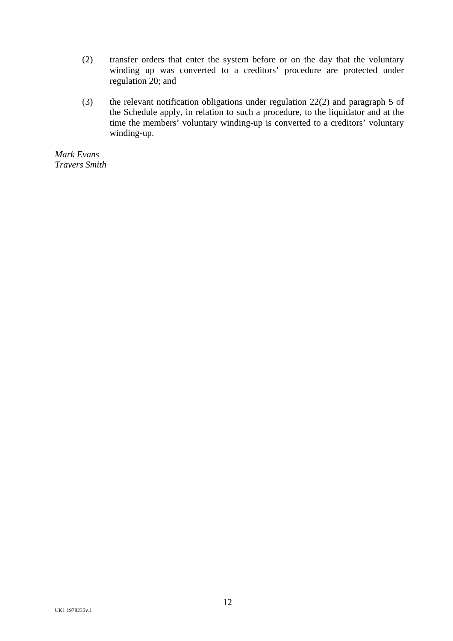- (2) transfer orders that enter the system before or on the day that the voluntary winding up was converted to a creditors' procedure are protected under regulation 20; and
- (3) the relevant notification obligations under regulation 22(2) and paragraph 5 of the Schedule apply, in relation to such a procedure, to the liquidator and at the time the members' voluntary winding-up is converted to a creditors' voluntary winding-up.

*Mark Evans Travers Smith*